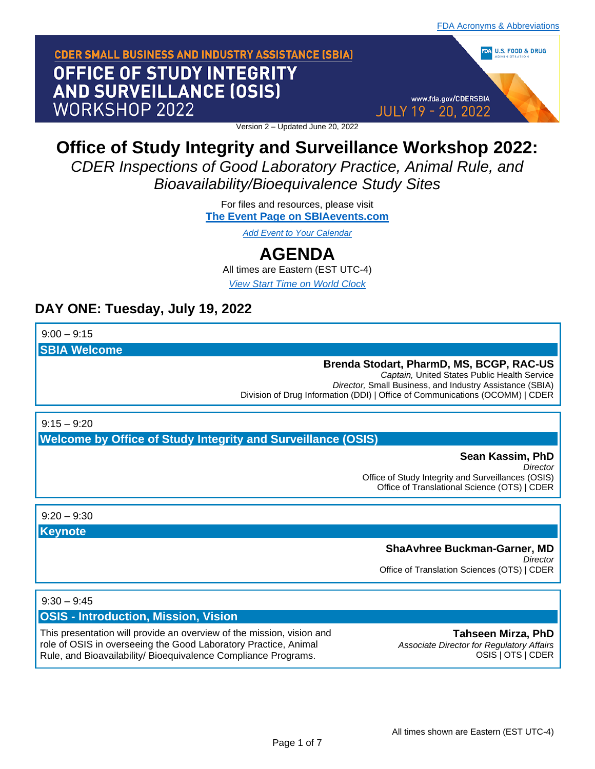www.fda.gov/CDERSBIA

**JULY 19 - 20, 2022** 

DA U.S. FOOD & DRUG

# **CDER SMALL BUSINESS AND INDUSTRY ASSISTANCE (SBIA)** OFFICE OF STUDY INTEGRITY **AND SURVEILLANCE (OSIS)** WORKSHOP 2022

Version 2 – Updated June 20, 2022

# **Office of Study Integrity and Surveillance Workshop 2022:**

*CDER Inspections of Good Laboratory Practice, Animal Rule, and Bioavailability/Bioequivalence Study Sites*

> For files and resources, please visit **[The Event Page on SBIAevents.com](https://sbiaevents.com/osis2022/)**

> > *[Add Event to Your Calendar](https://sbiaevents.com/ics/osis2022.ics)*

# **AGENDA**

All times are Eastern (EST UTC-4) *[View Start Time on World Clock](https://www.timeanddate.com/worldclock/fixedtime.html?msg=SBIA+Event+Start+Time&iso=20220719T0900&p1=263)*

# **DAY ONE: Tuesday, July 19, 2022**

 $9:00 - 9:15$ 

**SBIA Welcome**

# **Brenda Stodart, PharmD, MS, BCGP, RAC-US**

*Captain,* United States Public Health Service *Director,* Small Business, and Industry Assistance (SBIA) Division of Drug Information (DDI) | Office of Communications (OCOMM) | CDER

 $9:15 - 9:20$ 

**Welcome by Office of Study Integrity and Surveillance (OSIS)**

# **Sean Kassim, PhD**

*Director* Office of Study Integrity and Surveillances (OSIS) Office of Translational Science (OTS) | CDER

 $9.20 - 9.30$ 

**Keynote**

# **ShaAvhree Buckman-Garner, MD**

*Director* Office of Translation Sciences (OTS) | CDER

# $9:30 - 9:45$

# **OSIS - Introduction, Mission, Vision**

This presentation will provide an overview of the mission, vision and role of OSIS in overseeing the Good Laboratory Practice, Animal Rule, and Bioavailability/ Bioequivalence Compliance Programs.

**Tahseen Mirza, PhD** *Associate Director for Regulatory Affairs* OSIS | OTS | CDER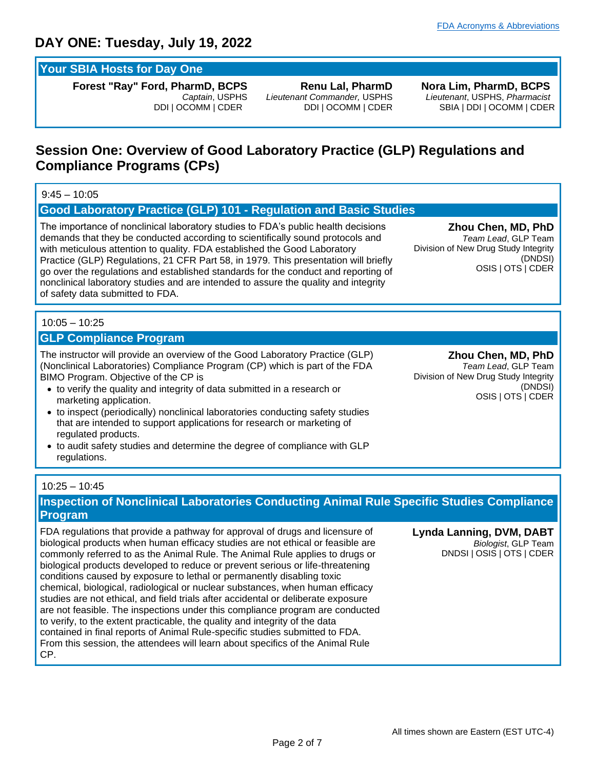# **Your SBIA Hosts for Day One**

**Forest "Ray" Ford, PharmD, BCPS**  *Captain*, USPHS DDI | OCOMM | CDER

**Renu Lal, PharmD** *Lieutenant Commander,* USPHS DDI | OCOMM | CDER **Nora Lim, PharmD, BCPS** *Lieutenant*, USPHS, *Pharmacist* SBIA | DDI | OCOMM | CDER

# **Session One: Overview of Good Laboratory Practice (GLP) Regulations and Compliance Programs (CPs)**

# $9:45 - 10:05$

## **Good Laboratory Practice (GLP) 101 - Regulation and Basic Studies**

The importance of nonclinical laboratory studies to FDA's public health decisions demands that they be conducted according to scientifically sound protocols and with meticulous attention to quality. FDA established the Good Laboratory Practice (GLP) Regulations, 21 CFR Part 58, in 1979. This presentation will briefly go over the regulations and established standards for the conduct and reporting of nonclinical laboratory studies and are intended to assure the quality and integrity of safety data submitted to FDA.

**Zhou Chen, MD, PhD** *Team Lead*, GLP Team Division of New Drug Study Integrity (DNDSI) OSIS | OTS | CDER

# 10:05 – 10:25

# **GLP Compliance Program**

The instructor will provide an overview of the Good Laboratory Practice (GLP) (Nonclinical Laboratories) Compliance Program (CP) which is part of the FDA BIMO Program. Objective of the CP is

- to verify the quality and integrity of data submitted in a research or marketing application.
- to inspect (periodically) nonclinical laboratories conducting safety studies that are intended to support applications for research or marketing of regulated products.
- to audit safety studies and determine the degree of compliance with GLP regulations.

**Zhou Chen, MD, PhD** *Team Lead*, GLP Team Division of New Drug Study Integrity (DNDSI) OSIS | OTS | CDER

## 10:25 – 10:45

# **Inspection of Nonclinical Laboratories Conducting Animal Rule Specific Studies Compliance Program**

FDA regulations that provide a pathway for approval of drugs and licensure of biological products when human efficacy studies are not ethical or feasible are commonly referred to as the Animal Rule. The Animal Rule applies to drugs or biological products developed to reduce or prevent serious or life-threatening conditions caused by exposure to lethal or permanently disabling toxic chemical, biological, radiological or nuclear substances, when human efficacy studies are not ethical, and field trials after accidental or deliberate exposure are not feasible. The inspections under this compliance program are conducted to verify, to the extent practicable, the quality and integrity of the data contained in final reports of Animal Rule-specific studies submitted to FDA. From this session, the attendees will learn about specifics of the Animal Rule CP.

**Lynda Lanning, DVM, DABT** *Biologist*, GLP Team DNDSI | OSIS | OTS | CDER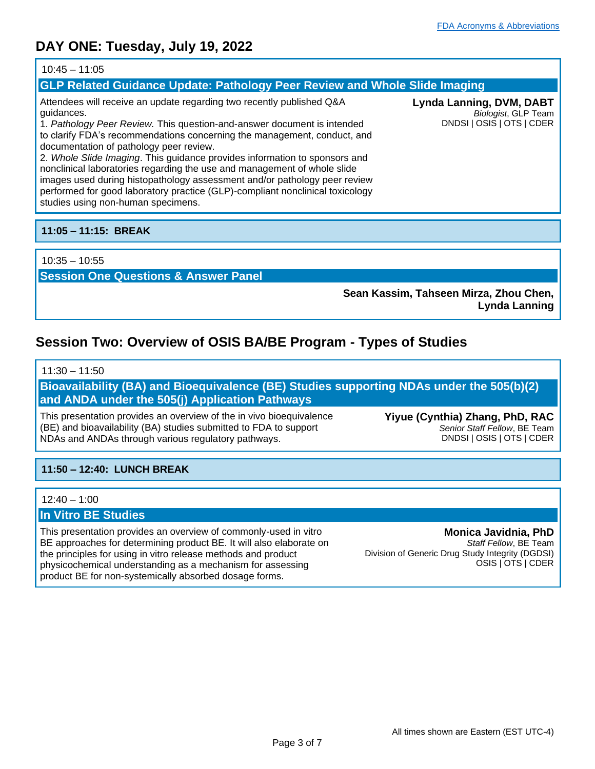### 10:45 – 11:05

## **GLP Related Guidance Update: Pathology Peer Review and Whole Slide Imaging**

Attendees will receive an update regarding two recently published Q&A guidances.

1. *Pathology Peer Review.* This question-and-answer document is intended to clarify FDA's recommendations concerning the management, conduct, and documentation of pathology peer review.

2. *Whole Slide Imaging*. This guidance provides information to sponsors and nonclinical laboratories regarding the use and management of whole slide images used during histopathology assessment and/or pathology peer review performed for good laboratory practice (GLP)-compliant nonclinical toxicology studies using non-human specimens.

# **11:05 – 11:15: BREAK**

## 10:35 – 10:55

**Session One Questions & Answer Panel**

**Sean Kassim, Tahseen Mirza, Zhou Chen, Lynda Lanning**

# **Session Two: Overview of OSIS BA/BE Program - Types of Studies**

## $11:30 - 11:50$

**Bioavailability (BA) and Bioequivalence (BE) Studies supporting NDAs under the 505(b)(2) and ANDA under the 505(j) Application Pathways**

This presentation provides an overview of the in vivo bioequivalence (BE) and bioavailability (BA) studies submitted to FDA to support NDAs and ANDAs through various regulatory pathways.

**Yiyue (Cynthia) Zhang, PhD, RAC** *Senior Staff Fellow*, BE Team DNDSI | OSIS | OTS | CDER

# **11:50 – 12:40: LUNCH BREAK**

### 12:40 – 1:00

# **In Vitro BE Studies**

This presentation provides an overview of commonly-used in vitro BE approaches for determining product BE. It will also elaborate on the principles for using in vitro release methods and product physicochemical understanding as a mechanism for assessing product BE for non-systemically absorbed dosage forms.

**Monica Javidnia, PhD** *Staff Fellow*, BE Team Division of Generic Drug Study Integrity (DGDSI) OSIS | OTS | CDER

**Lynda Lanning, DVM, DABT** *Biologist*, GLP Team DNDSI | OSIS | OTS | CDER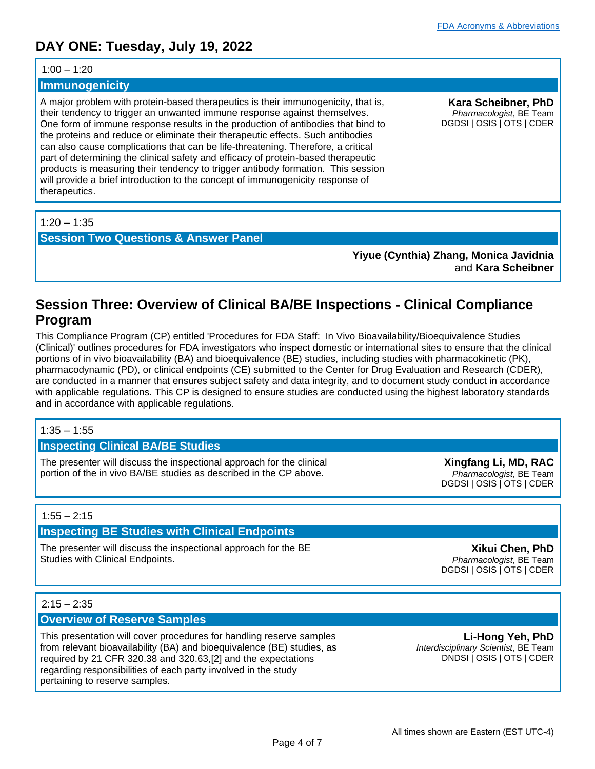#### $1:00 - 1:20$

#### **Immunogenicity**

A major problem with protein-based therapeutics is their immunogenicity, that is, their tendency to trigger an unwanted immune response against themselves. One form of immune response results in the production of antibodies that bind to the proteins and reduce or eliminate their therapeutic effects. Such antibodies can also cause complications that can be life-threatening. Therefore, a critical part of determining the clinical safety and efficacy of protein-based therapeutic products is measuring their tendency to trigger antibody formation. This session will provide a brief introduction to the concept of immunogenicity response of therapeutics.

**Kara Scheibner, PhD** *Pharmacologist*, BE Team DGDSI | OSIS | OTS | CDER

## $1:20 - 1:35$

**Session Two Questions & Answer Panel**

**Yiyue (Cynthia) Zhang, Monica Javidnia**  and **Kara Scheibner**

# **Session Three: Overview of Clinical BA/BE Inspections - Clinical Compliance Program**

This Compliance Program (CP) entitled 'Procedures for FDA Staff: In Vivo Bioavailability/Bioequivalence Studies (Clinical)' outlines procedures for FDA investigators who inspect domestic or international sites to ensure that the clinical portions of in vivo bioavailability (BA) and bioequivalence (BE) studies, including studies with pharmacokinetic (PK), pharmacodynamic (PD), or clinical endpoints (CE) submitted to the Center for Drug Evaluation and Research (CDER), are conducted in a manner that ensures subject safety and data integrity, and to document study conduct in accordance with applicable regulations. This CP is designed to ensure studies are conducted using the highest laboratory standards and in accordance with applicable regulations.

### $1:35 - 1:55$

### **Inspecting Clinical BA/BE Studies**

The presenter will discuss the inspectional approach for the clinical portion of the in vivo BA/BE studies as described in the CP above.

**Xingfang Li, MD, RAC** *Pharmacologist*, BE Team DGDSI | OSIS | OTS | CDER

### $1:55 - 2:15$

### **Inspecting BE Studies with Clinical Endpoints**

The presenter will discuss the inspectional approach for the BE Studies with Clinical Endpoints.

**Xikui Chen, PhD** *Pharmacologist*, BE Team DGDSI | OSIS | OTS | CDER

### $2:15 - 2:35$

## **Overview of Reserve Samples**

This presentation will cover procedures for handling reserve samples from relevant bioavailability (BA) and bioequivalence (BE) studies, as required by 21 CFR 320.38 and 320.63,[2] and the expectations regarding responsibilities of each party involved in the study pertaining to reserve samples.

**Li-Hong Yeh, PhD** *Interdisciplinary Scientist*, BE Team DNDSI | OSIS | OTS | CDER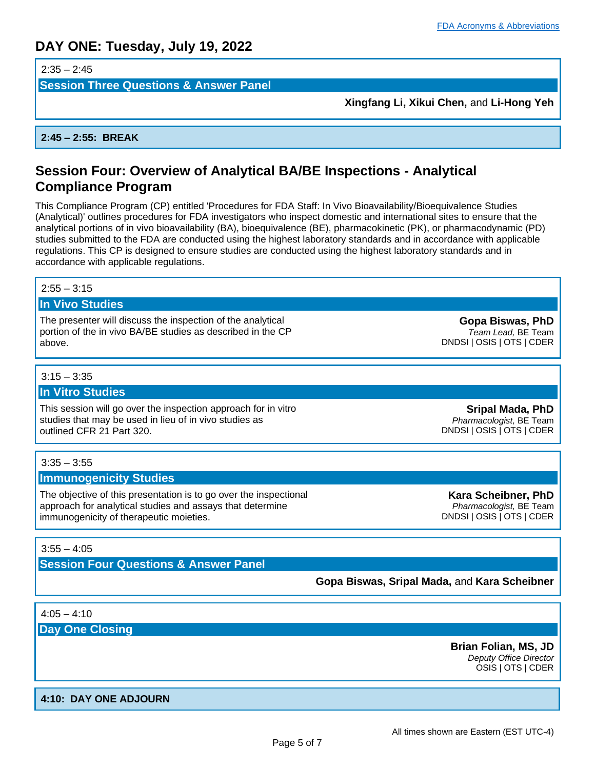$2:35 - 2:45$ 

**Session Three Questions & Answer Panel**

**Xingfang Li, Xikui Chen,** and **Li-Hong Yeh**

**2:45 – 2:55: BREAK**

# **Session Four: Overview of Analytical BA/BE Inspections - Analytical Compliance Program**

This Compliance Program (CP) entitled 'Procedures for FDA Staff: In Vivo Bioavailability/Bioequivalence Studies (Analytical)' outlines procedures for FDA investigators who inspect domestic and international sites to ensure that the analytical portions of in vivo bioavailability (BA), bioequivalence (BE), pharmacokinetic (PK), or pharmacodynamic (PD) studies submitted to the FDA are conducted using the highest laboratory standards and in accordance with applicable regulations. This CP is designed to ensure studies are conducted using the highest laboratory standards and in accordance with applicable regulations.

#### $2:55 - 3:15$

# **In Vivo Studies**

The presenter will discuss the inspection of the analytical portion of the in vivo BA/BE studies as described in the CP above.

 $3:15 - 3:35$ 

#### **In Vitro Studies**

This session will go over the inspection approach for in vitro studies that may be used in lieu of in vivo studies as outlined CFR 21 Part 320.

 $3:35 - 3:55$ 

#### **Immunogenicity Studies**

The objective of this presentation is to go over the inspectional approach for analytical studies and assays that determine immunogenicity of therapeutic moieties.

 $3:55 - 4:05$ 

**Session Four Questions & Answer Panel**

**Gopa Biswas, Sripal Mada,** and **Kara Scheibner**

 $4:05 - 4:10$ 

**Day One Closing**

**Brian Folian, MS, JD** *Deputy Office Director* OSIS | OTS | CDER

## **4:10: DAY ONE ADJOURN**

All times shown are Eastern (EST UTC-4)

Page 5 of 7

**Sripal Mada, PhD** *Pharmacologist,* BE Team DNDSI | OSIS | OTS | CDER

**Gopa Biswas, PhD** *Team Lead,* BE Team DNDSI | OSIS | OTS | CDER

**Kara Scheibner, PhD** *Pharmacologist,* BE Team DNDSI | OSIS | OTS | CDER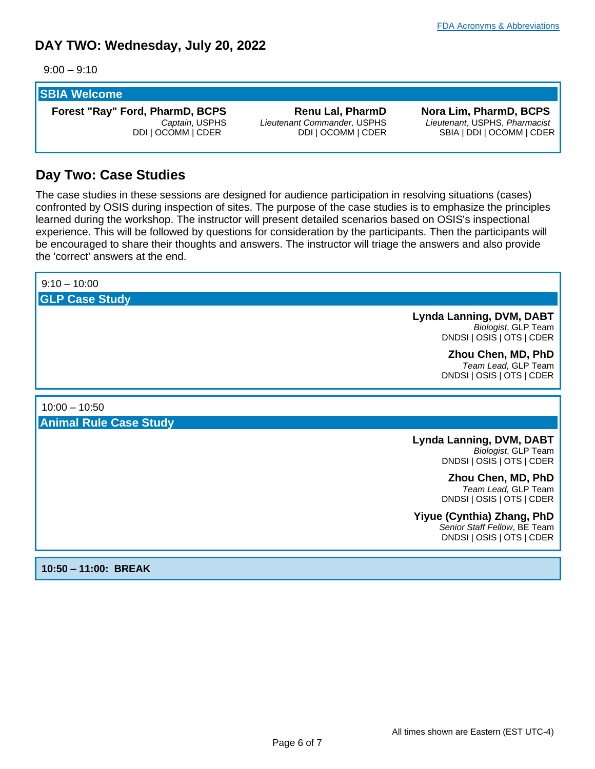# **DAY TWO: Wednesday, July 20, 2022**

 $9:00 - 9:10$ 

# **SBIA Welcome**

**Forest "Ray" Ford, PharmD, BCPS**  *Captain*, USPHS DDI | OCOMM | CDER

**Renu Lal, PharmD** *Lieutenant Commander,* USPHS DDI | OCOMM | CDER

**Nora Lim, PharmD, BCPS** *Lieutenant*, USPHS, *Pharmacist* SBIA | DDI | OCOMM | CDER

# **Day Two: Case Studies**

The case studies in these sessions are designed for audience participation in resolving situations (cases) confronted by OSIS during inspection of sites. The purpose of the case studies is to emphasize the principles learned during the workshop. The instructor will present detailed scenarios based on OSIS's inspectional experience. This will be followed by questions for consideration by the participants. Then the participants will be encouraged to share their thoughts and answers. The instructor will triage the answers and also provide the 'correct' answers at the end.

| $9:10 - 10:00$                |                                                                                         |
|-------------------------------|-----------------------------------------------------------------------------------------|
| <b>GLP Case Study</b>         |                                                                                         |
|                               | <b>Lynda Lanning, DVM, DABT</b><br>Biologist, GLP Team<br>DNDSI   OSIS   OTS   CDER     |
|                               | Zhou Chen, MD, PhD<br>Team Lead, GLP Team<br>DNDSI   OSIS   OTS   CDER                  |
| $10:00 - 10:50$               |                                                                                         |
| <b>Animal Rule Case Study</b> |                                                                                         |
|                               | <b>Lynda Lanning, DVM, DABT</b><br>Biologist, GLP Team<br>DNDSI   OSIS   OTS   CDER     |
|                               | Zhou Chen, MD, PhD<br>Team Lead, GLP Team<br>DNDSI   OSIS   OTS   CDER                  |
|                               | Yiyue (Cynthia) Zhang, PhD<br>Senior Staff Fellow, BE Team<br>DNDSI   OSIS   OTS   CDER |

**10:50 – 11:00: BREAK**